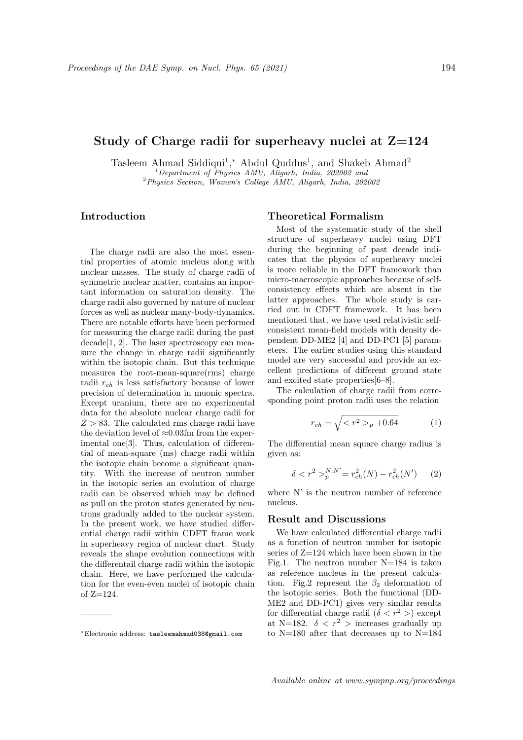## Study of Charge radii for superheavy nuclei at  $Z=124$

Tasleem Ahmad Siddiqui<sup>1</sup>,\* Abdul Quddus<sup>1</sup>, and Shakeb Ahmad<sup>2</sup> <sup>1</sup>Department of Physics AMU, Aligarh, India, 202002 and <sup>2</sup>Physics Section, Women's College AMU, Aligarh, India, 202002

Introduction

The charge radii are also the most essential properties of atomic nucleus along with nuclear masses. The study of charge radii of symmetric nuclear matter, contains an important information on saturation density. The charge radii also governed by nature of nuclear forces as well as nuclear many-body-dynamics. There are notable efforts have been performed for measuring the charge radii during the past decade[1, 2]. The laser spectroscopy can measure the change in charge radii significantly within the isotopic chain. But this technique measures the root-mean-square(rms) charge radii  $r_{ch}$  is less satisfactory because of lower precision of determination in muonic spectra. Except uranium, there are no experimental data for the absolute nuclear charge radii for  $Z > 83$ . The calculated rms charge radii have the deviation level of  $\approx 0.03$ fm from the experimental one[3]. Thus, calculation of differential of mean-square (ms) charge radii within the isotopic chain become a significant quantity. With the increase of neutron number in the isotopic series an evolution of charge radii can be observed which may be defined as pull on the proton states generated by neutrons gradually added to the nuclear system. In the present work, we have studied differential charge radii within CDFT frame work in superheavy region of nuclear chart. Study reveals the shape evolution connections with the differentail charge radii within the isotopic chain. Here, we have performed the calculation for the even-even nuclei of isotopic chain of Z=124.

## Theoretical Formalism

Most of the systematic study of the shell structure of superheavy nuclei using DFT during the beginning of past decade indicates that the physics of superheavy nuclei is more reliable in the DFT framework than micro-macroscopic approaches because of selfconsistency effects which are absent in the latter approaches. The whole study is carried out in CDFT framework. It has been mentioned that, we have used relativistic selfconsistent mean-field models with density dependent DD-ME2 [4] and DD-PC1 [5] parameters. The earlier studies using this standard model are very successful and provide an excellent predictions of different ground state and excited state properties[6–8].

The calculation of charge radii from corresponding point proton radii uses the relation

$$
r_{ch} = \sqrt{_p + 0.64}
$$
 (1)

The differential mean square charge radius is given as:

$$
\delta < r^2 >_{p}^{N,N'} = r_{ch}^2(N) - r_{ch}^2(N') \tag{2}
$$

where N' is the neutron number of reference nucleus.

## Result and Discussions

We have calculated differential charge radii as a function of neutron number for isotopic series of Z=124 which have been shown in the Fig.1. The neutron number N=184 is taken as reference nucleus in the present calculation. Fig.2 represent the  $\beta_2$  deformation of the isotopic series. Both the functional (DD-ME2 and DD-PC1) gives very similar results for differential charge radii  $(\delta < r^2)$  except at N=182.  $\delta < r^2$  > increases gradually up to N=180 after that decreases up to N=184

<sup>∗</sup>Electronic address: tasleemahmad038@gmail.com